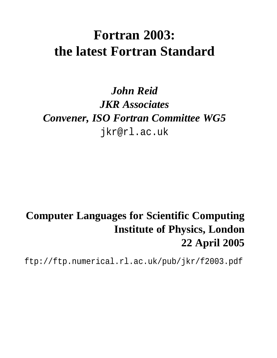# **Fortran 2003: the latest Fortran Standard**

## *John Reid JKR Associates Convener, ISO Fortran Committee WG5* jkr@rl.ac.uk

## **Computer Languages for Scientific Computing Institute of Physics, London 22 April 2005**

ftp://ftp.numerical.rl.ac.uk/pub/jkr/f2003.pdf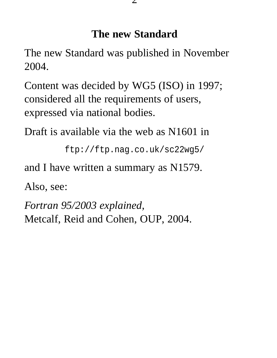### **The new Standard**

The new Standard was published in November 2004.

Content was decided by WG5 (ISO) in 1997; considered all the requirements of users, expressed via national bodies.

Draft is available via the web as N1601 in

```
ftp://ftp.nag.co.uk/sc22wg5/
```
and I have written a summary as N1579.

Also, see:

*Fortran 95/2003 explained,* Metcalf, Reid and Cohen, OUP, 2004.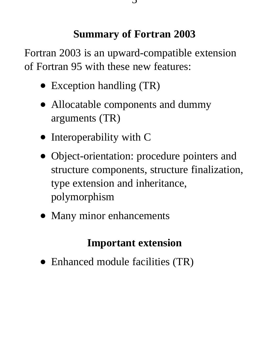### **Summary of Fortran 2003**

Fortran 2003 is an upward-compatible extension of Fortran 95 with these new features:

- Exception handling (TR)
- Allocatable components and dummy arguments (TR)
- Interoperability with C
- Object-orientation: procedure pointers and structure components, structure finalization, type extension and inheritance, polymorphism
- Many minor enhancements

## **Important extension**

• Enhanced module facilities (TR)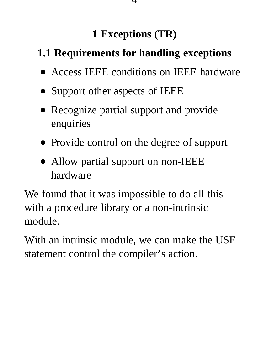## **1 Exceptions (TR)**

# **1.1 Requirements for handling exceptions**

- Access IEEE conditions on IEEE hardware
- Support other aspects of IEEE
- Recognize partial support and provide enquiries
- Provide control on the degree of support
- Allow partial support on non-IEEE hardware

We found that it was impossible to do all this with a procedure library or a non-intrinsic module.

With an intrinsic module, we can make the USE statement control the compiler's action.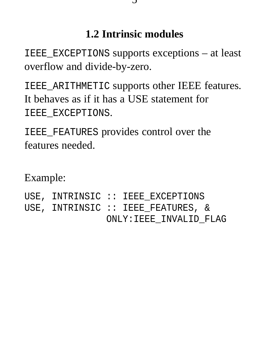## **1.2 Intrinsic modules**

IEEE\_EXCEPTIONS supports exceptions – at least overflow and divide-by-zero.

IEEE\_ARITHMETIC supports other IEEE features. It behaves as if it has a USE statement for IEEE\_EXCEPTIONS.

IEEE\_FEATURES provides control over the features needed.

Example:

USE, INTRINSIC :: IEEE\_EXCEPTIONS USE, INTRINSIC :: IEEE\_FEATURES, &

ONLY:IEEE\_INVALID\_FLAG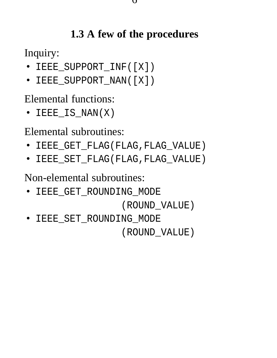## **1.3 A few of the procedures**

Inquiry:

- IEEE\_SUPPORT\_INF([X])
- IEEE\_SUPPORT\_NAN([X])

Elemental functions:

• IEEE\_IS\_NAN(X)

Elemental subroutines:

- IEEE GET FLAG(FLAG, FLAG VALUE)
- IEEE\_SET\_FLAG(FLAG,FLAG\_VALUE)

Non-elemental subroutines:

• IEEE\_GET\_ROUNDING\_MODE

(ROUND\_VALUE)

• IEEE\_SET\_ROUNDING\_MODE (ROUND\_VALUE)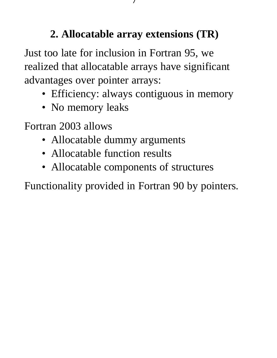## **2. Allocatable array extensions (TR)**

Just too late for inclusion in Fortran 95, we realized that allocatable arrays have significant advantages over pointer arrays:

- Efficiency: always contiguous in memory
- No memory leaks

Fortran 2003 allows

- Allocatable dummy arguments
- Allocatable function results
- Allocatable components of structures

Functionality provided in Fortran 90 by pointers.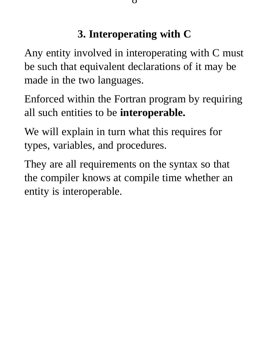## **3. Interoperating with C**

Any entity involved in interoperating with C must be such that equivalent declarations of it may be made in the two languages.

Enforced within the Fortran program by requiring all such entities to be **interoperable.**

We will explain in turn what this requires for types, variables, and procedures.

They are all requirements on the syntax so that the compiler knows at compile time whether an entity is interoperable.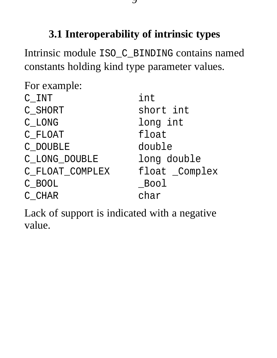## **3.1 Interoperability of intrinsic types**

Intrinsic module ISO\_C\_BINDING contains named constants holding kind type parameter values.

| For example:    |                |
|-----------------|----------------|
| C INT           | int            |
| C_SHORT         | short int      |
| C LONG          | long int       |
| C FLOAT         | float          |
| C DOUBLE        | double         |
| C LONG DOUBLE   | long double    |
| C_FLOAT_COMPLEX | float _Complex |
| C BOOL          | $\_$ Bool      |
| C CHAR          | char           |

Lack of support is indicated with a negative value.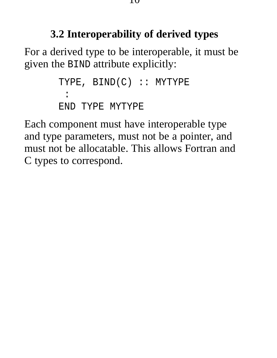### **3.2 Interoperability of derived types**

For a derived type to be interoperable, it must be given the BIND attribute explicitly:

```
TYPE, BIND(C) :: MYTYPE
 :
END TYPE MYTYPE
```
Each component must have interoperable type and type parameters, must not be a pointer, and must not be allocatable. This allows Fortran and C types to correspond.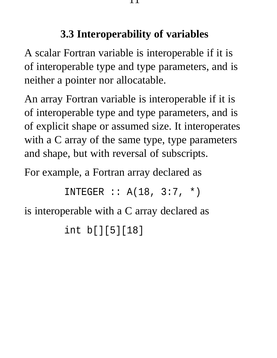## **3.3 Interoperability of variables**

A scalar Fortran variable is interoperable if it is of interoperable type and type parameters, and is neither a pointer nor allocatable.

An array Fortran variable is interoperable if it is of interoperable type and type parameters, and is of explicit shape or assumed size. It interoperates with a C array of the same type, type parameters and shape, but with reversal of subscripts.

For example, a Fortran array declared as

INTEGER :: A(18, 3:7, \*)

is interoperable with a C array declared as

int b[][5][18]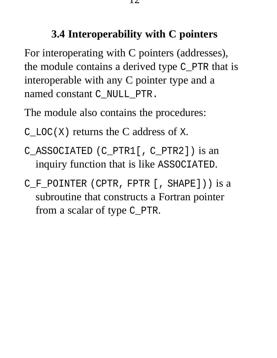## **3.4 Interoperability with C pointers**

For interoperating with C pointers (addresses), the module contains a derived type C\_PTR that is interoperable with any C pointer type and a named constant C\_NULL\_PTR.

The module also contains the procedures:

 $C_{\text{LOC}}(X)$  returns the C address of X.

- C\_ASSOCIATED (C\_PTR1[, C\_PTR2]) is an inquiry function that is like ASSOCIATED.
- C\_F\_POINTER (CPTR, FPTR [, SHAPE])) is a subroutine that constructs a Fortran pointer from a scalar of type C\_PTR.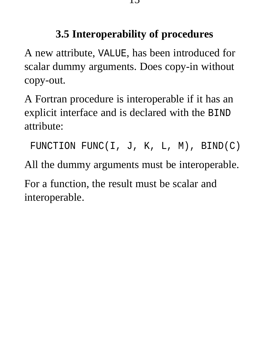## **3.5 Interoperability of procedures**

A new attribute, VALUE, has been introduced for scalar dummy arguments. Does copy-in without copy-out.

A Fortran procedure is interoperable if it has an explicit interface and is declared with the BIND attribute:

FUNCTION FUNC(I, J, K, L, M), BIND(C)

All the dummy arguments must be interoperable.

For a function, the result must be scalar and interoperable.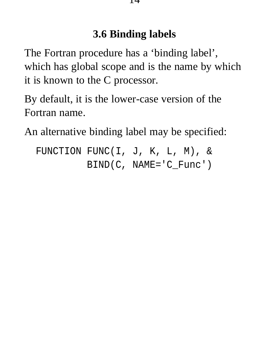## **3.6 Binding labels**

The Fortran procedure has a 'binding label', which has global scope and is the name by which it is known to the C processor.

By default, it is the lower-case version of the Fortran name.

An alternative binding label may be specified:

FUNCTION FUNC(I, J, K, L, M), & BIND(C, NAME='C\_Func')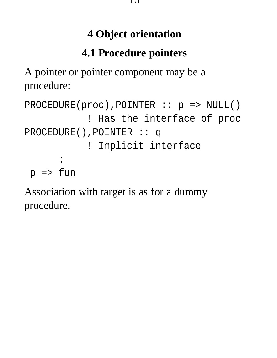## **4 Object orientation**

# **4.1 Procedure pointers**

A pointer or pointer component may be a procedure:

```
PROCEDURE(proc),POINTER :: p => NULL()
           ! Has the interface of proc
PROCEDURE(),POINTER :: q
           ! Implicit interface
      :
p => fun
```
Association with target is as for a dummy procedure.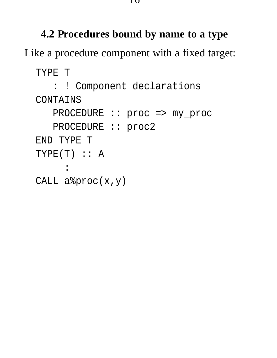#### **4.2 Procedures bound by name to a type**

Like a procedure component with a fixed target:

TYPE T

: ! Component declarations CONTAINS PROCEDURE :: proc => my\_proc PROCEDURE :: proc2 END TYPE T  $TYPE(T) :: A$ :

CALL a%proc(x,y)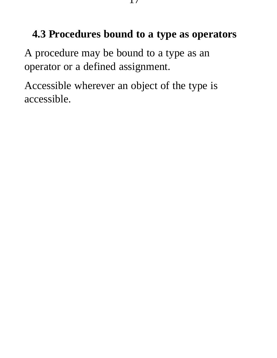### **4.3 Procedures bound to a type as operators**

A procedure may be bound to a type as an operator or a defined assignment.

Accessible wherever an object of the type is accessible.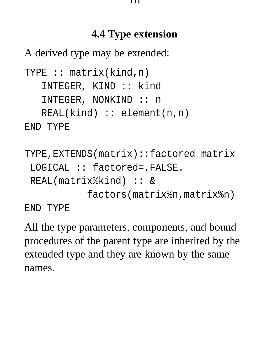#### **4.4 Type extension**

A derived type may be extended:

```
TYPE :: matrix(kind,n)
   INTEGER, KIND :: kind
   INTEGER, NONKIND :: n
   REAL(kind) :: element(n,n)
END TYPE
TYPE,EXTENDS(matrix)::factored_matrix
 LOGICAL :: factored=.FALSE.
```

```
REAL(matrix%kind) :: &
```
factors(matrix%n,matrix%n)

END TYPE

All the type parameters, components, and bound procedures of the parent type are inherited by the extended type and they are known by the same names.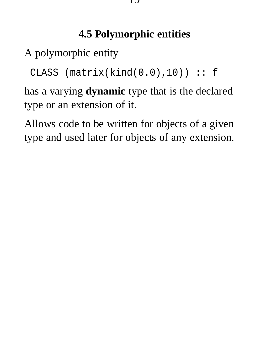## **4.5 Polymorphic entities**

A polymorphic entity

CLASS (matrix(kind(0.0),10)) :: f

has a varying **dynamic** type that is the declared type or an extension of it.

Allows code to be written for objects of a given type and used later for objects of any extension.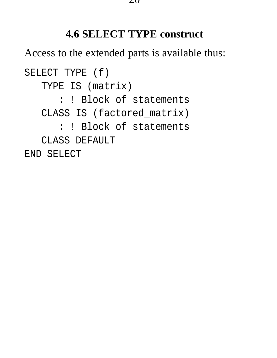#### **4.6 SELECT TYPE construct**

Access to the extended parts is available thus:

SELECT TYPE (f) TYPE IS (matrix) : ! Block of statements CLASS IS (factored\_matrix) : ! Block of statements CLASS DEFAULT END SELECT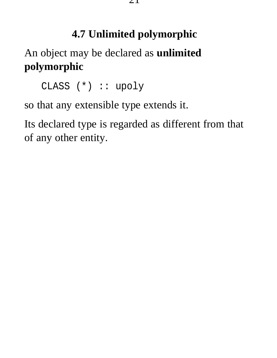## **4.7 Unlimited polymorphic**

An object may be declared as **unlimited polymorphic**

CLASS (\*) :: upoly

so that any extensible type extends it.

Its declared type is regarded as different from that of any other entity.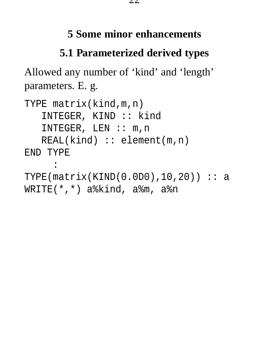#### **5 Some minor enhancements**

## **5.1 Parameterized derived types**

Allowed any number of 'kind' and 'length' parameters. E. g.

```
TYPE matrix(kind,m,n)
   INTEGER, KIND :: kind
   INTEGER, LEN :: m,n
   REAL(kind) :: element(m,n)
END TYPE
     :
TYPE(matrix(KIND(0.0D0),10,20)) :: aWRITE(*,*) a%kind, a%m, a%n
```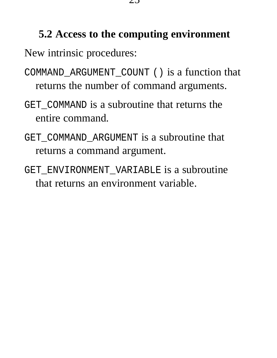#### **5.2 Access to the computing environment**

New intrinsic procedures:

- COMMAND\_ARGUMENT\_COUNT () is a function that returns the number of command arguments.
- GET COMMAND is a subroutine that returns the entire command.
- GET\_COMMAND\_ARGUMENT is a subroutine that returns a command argument.
- GET\_ENVIRONMENT\_VARIABLE is a subroutine that returns an environment variable.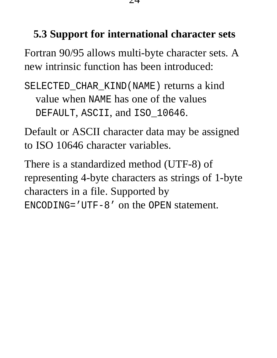#### **5.3 Support for international character sets**

Fortran 90/95 allows multi-byte character sets. A new intrinsic function has been introduced:

SELECTED\_CHAR\_KIND(NAME) returns a kind value when NAME has one of the values DEFAULT, ASCII, and ISO\_10646.

Default or ASCII character data may be assigned to ISO 10646 character variables.

There is a standardized method (UTF-8) of representing 4-byte characters as strings of 1-byte characters in a file. Supported by ENCODING='UTF-8' on the OPEN statement.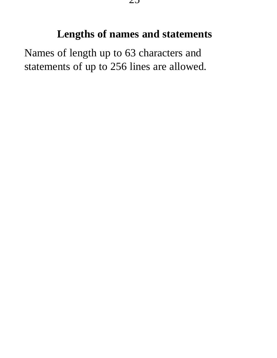#### **Lengths of names and statements**

Names of length up to 63 characters and statements of up to 256 lines are allowed.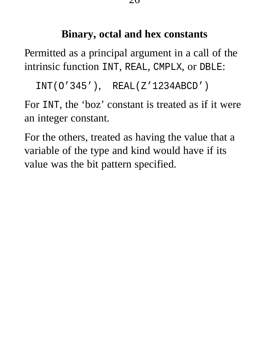#### **Binary, octal and hex constants**

Permitted as a principal argument in a call of the intrinsic function INT, REAL, CMPLX, or DBLE:

```
INT(O'345'), REAL(Z'1234ABCD')
```
For INT, the 'boz' constant is treated as if it were an integer constant.

For the others, treated as having the value that a variable of the type and kind would have if its value was the bit pattern specified.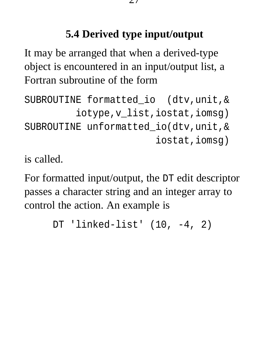## **5.4 Derived type input/output**

It may be arranged that when a derived-type object is encountered in an input/output list, a Fortran subroutine of the form

```
SUBROUTINE formatted_io (dtv,unit,&
         iotype,v_list,iostat,iomsg)
SUBROUTINE unformatted_io(dtv,unit,&
                       iostat,iomsg)
```
is called.

For formatted input/output, the DT edit descriptor passes a character string and an integer array to control the action. An example is

```
DT 'linked-list' (10, -4, 2)
```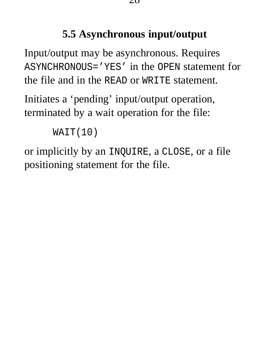### **5.5 Asynchronous input/output**

Input/output may be asynchronous. Requires ASYNCHRONOUS='YES' in the OPEN statement for the file and in the READ or WRITE statement.

Initiates a 'pending' input/output operation, terminated by a wait operation for the file:

```
WAIT(10)
```
or implicitly by an INQUIRE, a CLOSE, or a file positioning statement for the file.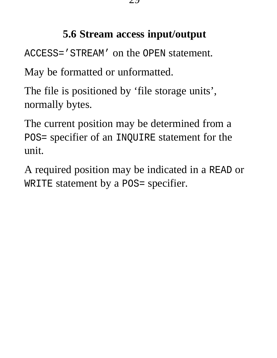## **5.6 Stream access input/output**

ACCESS='STREAM' on the OPEN statement.

May be formatted or unformatted.

The file is positioned by 'file storage units', normally bytes.

The current position may be determined from a POS= specifier of an INQUIRE statement for the unit.

A required position may be indicated in a READ or WRITE statement by a POS= specifier.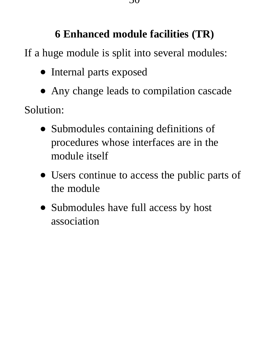## **6 Enhanced module facilities (TR)**

If a huge module is split into several modules:

- Internal parts exposed
- Any change leads to compilation cascade

Solution:

- Submodules containing definitions of procedures whose interfaces are in the module itself
- Users continue to access the public parts of the module
- Submodules have full access by host association